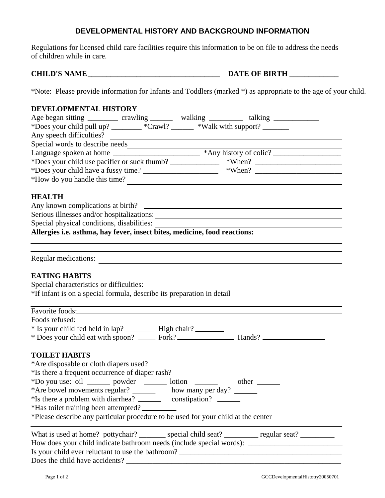## **DEVELOPMENTAL HISTORY AND BACKGROUND INFORMATION**

Regulations for licensed child care facilities require this information to be on file to address the needs of children while in care.

**CHILD'S NAME \_\_\_\_\_\_\_\_\_\_\_\_\_\_\_\_\_\_\_\_\_\_\_\_\_\_\_\_\_\_\_\_\_\_\_ DATE OF BIRTH \_\_\_\_\_\_\_\_\_\_\_\_\_**

\*Note: Please provide information for Infants and Toddlers (marked \*) as appropriate to the age of your child.

### **DEVELOPMENTAL HISTORY**

| Age began sitting ___________ crawling _________ walking __________ talking ___________                                                                                    |  |  |
|----------------------------------------------------------------------------------------------------------------------------------------------------------------------------|--|--|
| *Does your child pull up? _______ *Crawl? _____ *Walk with support? ______                                                                                                 |  |  |
| Any speech difficulties?                                                                                                                                                   |  |  |
|                                                                                                                                                                            |  |  |
|                                                                                                                                                                            |  |  |
|                                                                                                                                                                            |  |  |
|                                                                                                                                                                            |  |  |
| *How do you handle this time?                                                                                                                                              |  |  |
| <b>HEALTH</b>                                                                                                                                                              |  |  |
|                                                                                                                                                                            |  |  |
|                                                                                                                                                                            |  |  |
|                                                                                                                                                                            |  |  |
|                                                                                                                                                                            |  |  |
| Regular medications:                                                                                                                                                       |  |  |
| <b>EATING HABITS</b>                                                                                                                                                       |  |  |
|                                                                                                                                                                            |  |  |
| Special characteristics or difficulties:<br>*If infant is on a special formula, describe its preparation in detail                                                         |  |  |
| ,我们也不能在这里的时候,我们也不能在这里的时候,我们也不能会在这里的时候,我们也不能会在这里的时候,我们也不能会在这里的时候,我们也不能会在这里的时候,我们也                                                                                           |  |  |
|                                                                                                                                                                            |  |  |
|                                                                                                                                                                            |  |  |
|                                                                                                                                                                            |  |  |
|                                                                                                                                                                            |  |  |
| <b>TOILET HABITS</b>                                                                                                                                                       |  |  |
| *Are disposable or cloth diapers used?                                                                                                                                     |  |  |
| *Is there a frequent occurrence of diaper rash?                                                                                                                            |  |  |
| *Do you use: oil ________ powder _________ lotion _______<br>$other \_\_$                                                                                                  |  |  |
| *Are bowel movements regular? ________ how many per day?                                                                                                                   |  |  |
| *Is there a problem with diarrhea? ____________ constipation? __________________                                                                                           |  |  |
| *Has toilet training been attempted?                                                                                                                                       |  |  |
| *Please describe any particular procedure to be used for your child at the center                                                                                          |  |  |
| What is used at home? pottychair? ________ special child seat? _________ regular seat? _________                                                                           |  |  |
|                                                                                                                                                                            |  |  |
| Is your child ever reluctant to use the bathroom?<br><u> 1989 - Johann Harry Harry Harry Harry Harry Harry Harry Harry Harry Harry Harry Harry Harry Harry Harry Harry</u> |  |  |

Does the child have accidents? \_\_\_\_\_\_\_\_\_\_\_\_\_\_\_\_\_\_\_\_\_\_\_\_\_\_\_\_\_\_\_\_\_\_\_\_\_\_\_\_\_\_\_\_\_\_\_\_\_\_\_\_\_\_\_\_\_